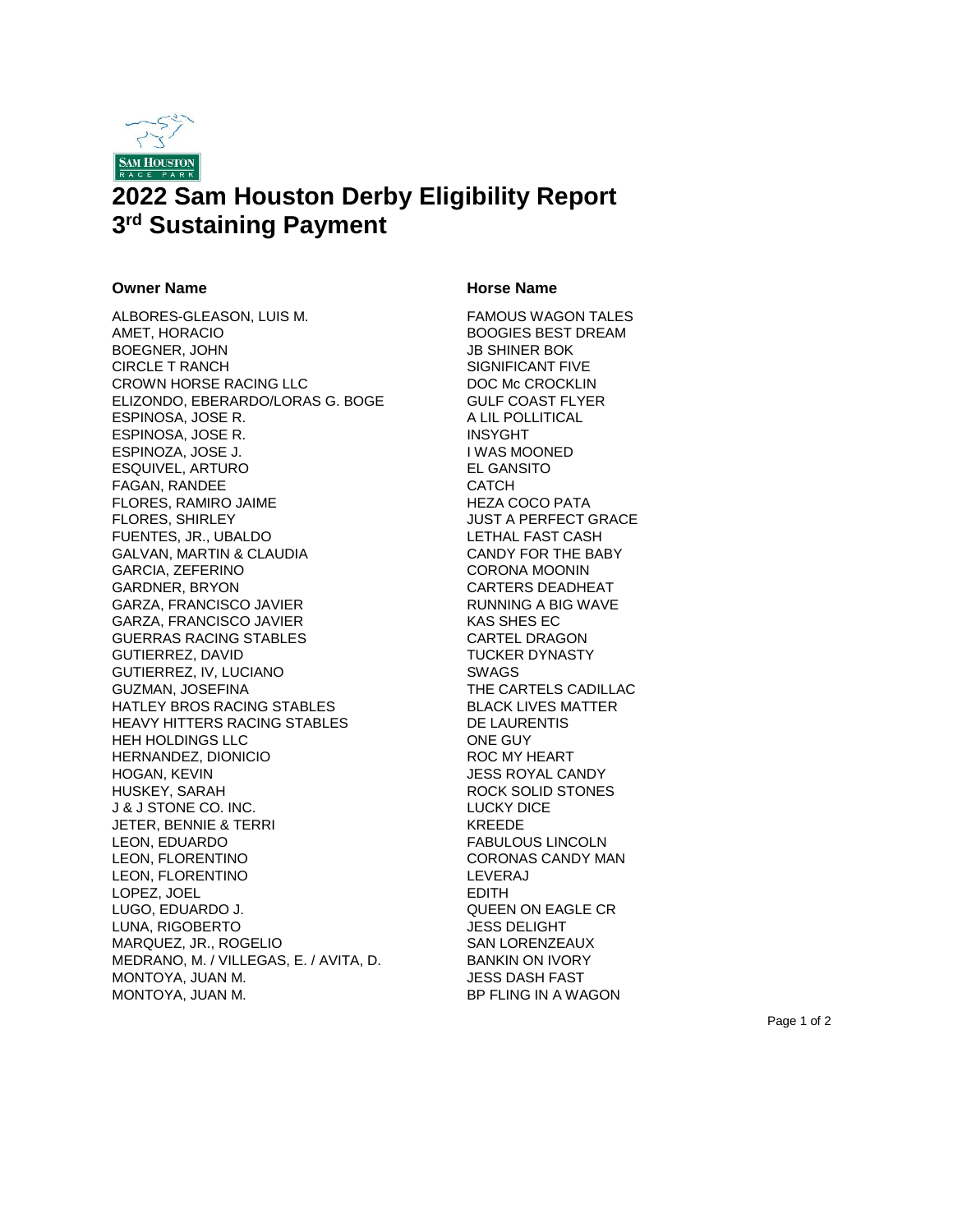

# **2022 Sam Houston Derby Eligibility Report 3 rd Sustaining Payment**

## **Owner Name CONSERVING CONSERVANCE CONSERVANCE CONSERVANCE CONSERVANCE CONSERVANCE CONSERVANCE CONSERVANCE CONSERVANCE CONSERVANCE CONSERVANCE CONSERVANCE CONSERVANCE CONSERVANCE CONSERVANCE CONSERVANCE CONSERVANCE CONSE**

ALBORES-GLEASON, LUIS M. THE SENSITY OF THE SALBORES-GLEASON, LUIS M. AMET, HORACIO **BOOGIES BEST DREAM** BOEGNER, JOHN JB SHINER BOK CIRCLE T RANCH SIGNIFICANT FIVE CROWN HORSE RACING LLC DOC Mc CROCKLIN ELIZONDO, EBERARDO/LORAS G. BOGE GULF COAST FLYER ESPINOSA, JOSE R. A LIL POLLITICAL ESPINOSA, JOSE R. INSYGHT ESPINOZA, JOSE J. I WAS MOONED ESQUIVEL, ARTURO EL GANSITO FAGAN, RANDEE CATCH FLORES, RAMIRO JAIME **HEZA COCO PATA** FLORES, SHIRLEY GRACE AND SUST A PERFECT GRACE FUENTES, JR., UBALDO LETHAL FAST CASH GALVAN, MARTIN & CLAUDIA CANDY FOR THE BABY GARCIA, ZEFERINO CORONA MOONIN GARDNER, BRYON CARTERS DEADHEAT GARZA, FRANCISCO JAVIER RUNNING A BIG WAVE GARZA, FRANCISCO JAVIER KAS SHES EC GUERRAS RACING STABLES CARTEL DRAGON GUTIERREZ, DAVID TUCKER DYNASTY GUTIERREZ, IV, LUCIANO SWAGS GUZMAN, JOSEFINA THE CARTELS CADILLAC HATLEY BROS RACING STABLES BLACK LIVES MATTER HEAVY HITTERS RACING STABLES DE LAURENTIS HEH HOLDINGS LLC ONE GUY HERNANDEZ, DIONICIO ROC MY HEART HOGAN, KEVIN JESS ROYAL CANDY HUSKEY, SARAH **ROCK SOLID STONES** J & J STONE CO. INC. LUCKY DICE JETER, BENNIE & TERRI KREEDE LEON, EDUARDO FABULOUS LINCOLN LEON, FLORENTINO CORONAS CANDY MAN LEON, FLORENTINO LEVERAJ LOPEZ, JOEL **EDITH** LUGO, EDUARDO J. QUEEN ON EAGLE CR LUNA, RIGOBERTO JESS DELIGHT MARQUEZ, JR., ROGELIO SAN LORENZEAUX MEDRANO, M. / VILLEGAS, E. / AVITA, D. BANKIN ON IVORY MONTOYA, JUAN M. JESS DASH FAST MONTOYA, JUAN M. BP FLING IN A WAGON

Page 1 of 2